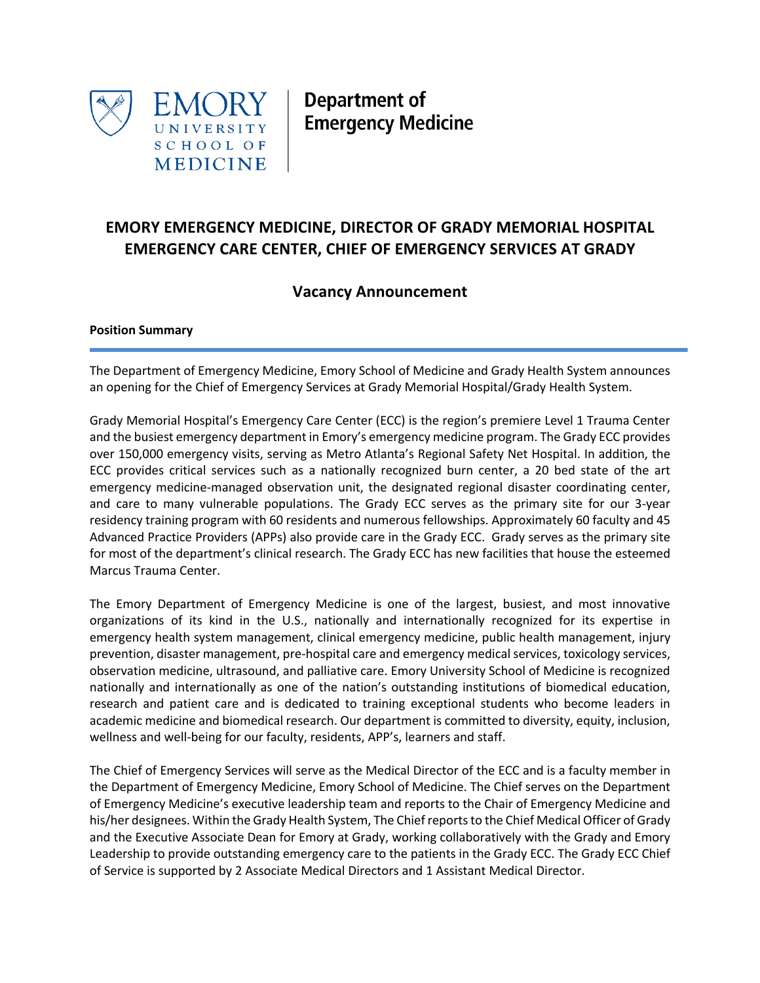

Department of **Emergency Medicine** 

# **EMORY EMERGENCY MEDICINE, DIRECTOR OF GRADY MEMORIAL HOSPITAL EMERGENCY CARE CENTER, CHIEF OF EMERGENCY SERVICES AT GRADY**

## **Vacancy Announcement**

## **Position Summary**

The Department of Emergency Medicine, Emory School of Medicine and Grady Health System announces an opening for the Chief of Emergency Services at Grady Memorial Hospital/Grady Health System.

Grady Memorial Hospital's Emergency Care Center (ECC) is the region's premiere Level 1 Trauma Center and the busiest emergency department in Emory's emergency medicine program. The Grady ECC provides over 150,000 emergency visits, serving as Metro Atlanta's Regional Safety Net Hospital. In addition, the ECC provides critical services such as a nationally recognized burn center, a 20 bed state of the art emergency medicine-managed observation unit, the designated regional disaster coordinating center, and care to many vulnerable populations. The Grady ECC serves as the primary site for our 3-year residency training program with 60 residents and numerous fellowships. Approximately 60 faculty and 45 Advanced Practice Providers (APPs) also provide care in the Grady ECC. Grady serves as the primary site for most of the department's clinical research. The Grady ECC has new facilities that house the esteemed Marcus Trauma Center.

The Emory Department of Emergency Medicine is one of the largest, busiest, and most innovative organizations of its kind in the U.S., nationally and internationally recognized for its expertise in emergency health system management, clinical emergency medicine, public health management, injury prevention, disaster management, pre-hospital care and emergency medical services, toxicology services, observation medicine, ultrasound, and palliative care. Emory University School of Medicine is recognized nationally and internationally as one of the nation's outstanding institutions of biomedical education, research and patient care and is dedicated to training exceptional students who become leaders in academic medicine and biomedical research. Our department is committed to diversity, equity, inclusion, wellness and well-being for our faculty, residents, APP's, learners and staff.

The Chief of Emergency Services will serve as the Medical Director of the ECC and is a faculty member in the Department of Emergency Medicine, Emory School of Medicine. The Chief serves on the Department of Emergency Medicine's executive leadership team and reports to the Chair of Emergency Medicine and his/her designees. Within the Grady Health System, The Chief reports to the Chief Medical Officer of Grady and the Executive Associate Dean for Emory at Grady, working collaboratively with the Grady and Emory Leadership to provide outstanding emergency care to the patients in the Grady ECC. The Grady ECC Chief of Service is supported by 2 Associate Medical Directors and 1 Assistant Medical Director.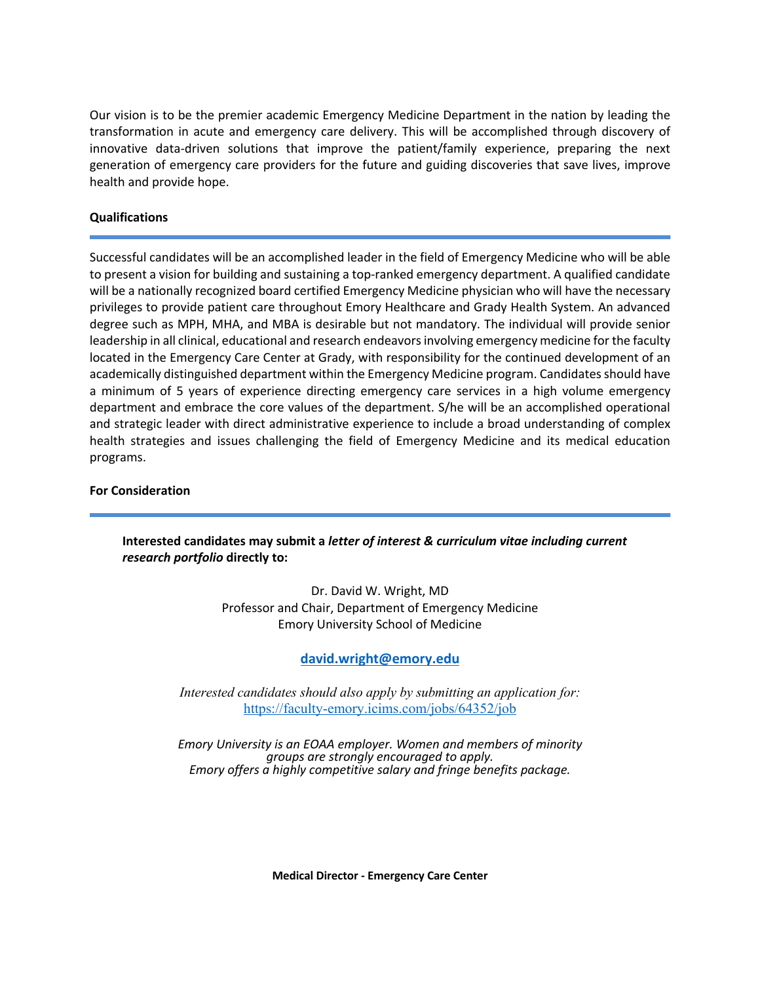Our vision is to be the premier academic Emergency Medicine Department in the nation by leading the transformation in acute and emergency care delivery. This will be accomplished through discovery of innovative data-driven solutions that improve the patient/family experience, preparing the next generation of emergency care providers for the future and guiding discoveries that save lives, improve health and provide hope.

### **Qualifications**

Successful candidates will be an accomplished leader in the field of Emergency Medicine who will be able to present a vision for building and sustaining a top-ranked emergency department. A qualified candidate will be a nationally recognized board certified Emergency Medicine physician who will have the necessary privileges to provide patient care throughout Emory Healthcare and Grady Health System. An advanced degree such as MPH, MHA, and MBA is desirable but not mandatory. The individual will provide senior leadership in all clinical, educational and research endeavors involving emergency medicine for the faculty located in the Emergency Care Center at Grady, with responsibility for the continued development of an academically distinguished department within the Emergency Medicine program. Candidates should have a minimum of 5 years of experience directing emergency care services in a high volume emergency department and embrace the core values of the department. S/he will be an accomplished operational and strategic leader with direct administrative experience to include a broad understanding of complex health strategies and issues challenging the field of Emergency Medicine and its medical education programs.

#### **For Consideration**

## **Interested candidates may submit a** *letter of interest & curriculum vitae including current research portfolio* **directly to:**

Dr. David W. Wright, MD Professor and Chair, Department of Emergency Medicine Emory University School of Medicine

## **david.wright@emory.edu**

*Interested candidates should also apply by submitting an application for:*  https://faculty-emory.icims.com/jobs/64352/job

*Emory University is an EOAA employer. Women and members of minority groups are strongly encouraged to apply. Emory offers a highly competitive salary and fringe benefits package.*

**Medical Director - Emergency Care Center**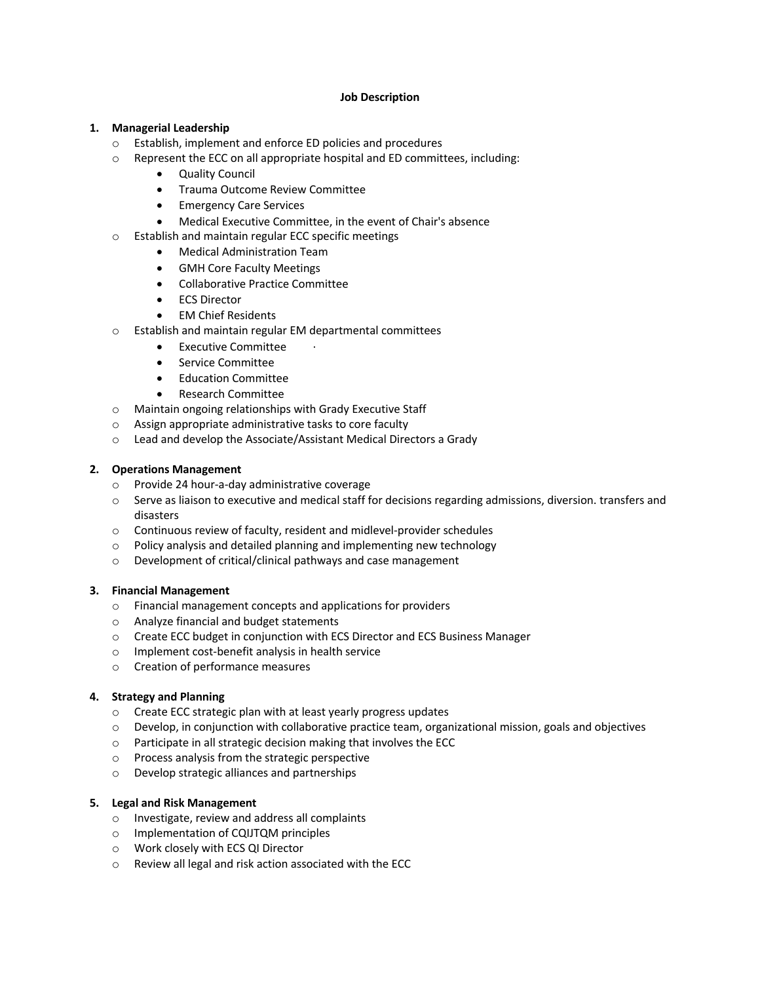#### **Job Description**

#### **1. Managerial Leadership**

- o Establish, implement and enforce ED policies and procedures
- o Represent the ECC on all appropriate hospital and ED committees, including:
	- Quality Council
	- Trauma Outcome Review Committee
	- Emergency Care Services
	- Medical Executive Committee, in the event of Chair's absence
- o Establish and maintain regular ECC specific meetings
	- Medical Administration Team
	- GMH Core Faculty Meetings
	- Collaborative Practice Committee
	- ECS Director
	- EM Chief Residents
- o Establish and maintain regular EM departmental committees
	- Executive Committee
	- Service Committee
	- Education Committee
	- Research Committee
- o Maintain ongoing relationships with Grady Executive Staff
- o Assign appropriate administrative tasks to core faculty
- o Lead and develop the Associate/Assistant Medical Directors a Grady

#### **2. Operations Management**

- o Provide 24 hour-a-day administrative coverage
- $\circ$  Serve as liaison to executive and medical staff for decisions regarding admissions, diversion. transfers and disasters
- o Continuous review of faculty, resident and midlevel-provider schedules
- o Policy analysis and detailed planning and implementing new technology
- o Development of critical/clinical pathways and case management

#### **3. Financial Management**

- o Financial management concepts and applications for providers
- o Analyze financial and budget statements
- o Create ECC budget in conjunction with ECS Director and ECS Business Manager
- o Implement cost-benefit analysis in health service
- o Creation of performance measures

#### **4. Strategy and Planning**

- o Create ECC strategic plan with at least yearly progress updates
- $\circ$  Develop, in conjunction with collaborative practice team, organizational mission, goals and objectives
- o Participate in all strategic decision making that involves the ECC
- o Process analysis from the strategic perspective
- o Develop strategic alliances and partnerships

#### **5. Legal and Risk Management**

- o Investigate, review and address all complaints
- o Implementation of CQIJTQM principles
- o Work closely with ECS QI Director
- o Review all legal and risk action associated with the ECC